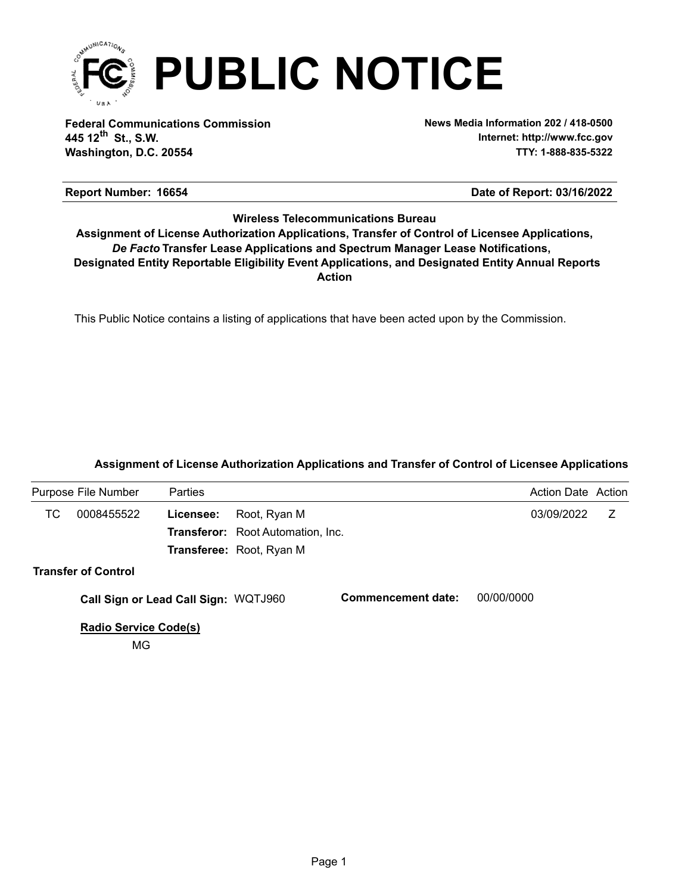

**Federal Communications Commission News Media Information 202 / 418-0500 Washington, D.C. 20554 TTY: 1-888-835-5322 445 12 St., S.W. th**

**Internet: http://www.fcc.gov**

## **Report Number: 16654 16654 16654 16654 16654 16654 16654 16654 16654 16654 16654 16654 16654 16654 16654 16654 16654 16654 16654 16654 16654 16654 16654 16654 16654 16654**

## **Wireless Telecommunications Bureau**

**Action** *De Facto* **Transfer Lease Applications and Spectrum Manager Lease Notifications, Designated Entity Reportable Eligibility Event Applications, and Designated Entity Annual Reports Assignment of License Authorization Applications, Transfer of Control of Licensee Applications,**

This Public Notice contains a listing of applications that have been acted upon by the Commission.

## **Assignment of License Authorization Applications and Transfer of Control of Licensee Applications**

|    | Purpose File Number                  | <b>Parties</b> |                                          |                    | <b>Action Date Action</b> |   |
|----|--------------------------------------|----------------|------------------------------------------|--------------------|---------------------------|---|
| ТC | 0008455522                           | Licensee:      | Root, Ryan M                             |                    | 03/09/2022                | Z |
|    |                                      |                | <b>Transferor:</b> Root Automation, Inc. |                    |                           |   |
|    |                                      |                | Transferee: Root, Ryan M                 |                    |                           |   |
|    | <b>Transfer of Control</b>           |                |                                          |                    |                           |   |
|    | Call Sign or Lead Call Sign: WQTJ960 |                |                                          | Commencement date: | 00/00/0000                |   |
|    | <b>Radio Service Code(s)</b>         |                |                                          |                    |                           |   |
|    | МG                                   |                |                                          |                    |                           |   |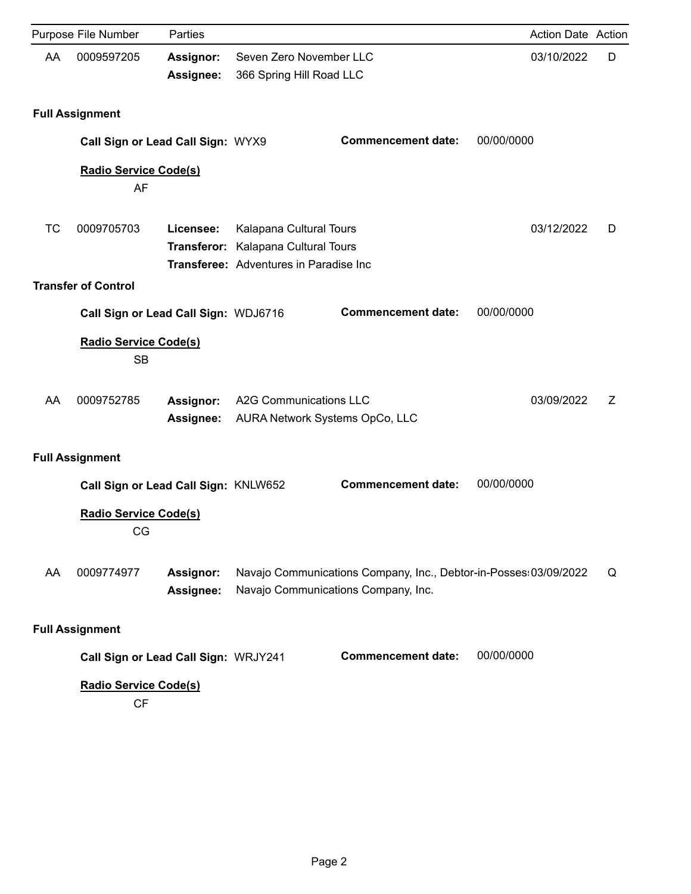|    | Purpose File Number                       | Parties                              |                                                                                                          |                                                                                                          | <b>Action Date Action</b> |   |
|----|-------------------------------------------|--------------------------------------|----------------------------------------------------------------------------------------------------------|----------------------------------------------------------------------------------------------------------|---------------------------|---|
| AA | 0009597205                                | <b>Assignor:</b><br>Assignee:        | Seven Zero November LLC<br>366 Spring Hill Road LLC                                                      |                                                                                                          | 03/10/2022                | D |
|    | <b>Full Assignment</b>                    |                                      |                                                                                                          |                                                                                                          |                           |   |
|    | Call Sign or Lead Call Sign: WYX9         |                                      |                                                                                                          | <b>Commencement date:</b>                                                                                | 00/00/0000                |   |
|    | <b>Radio Service Code(s)</b><br>AF        |                                      |                                                                                                          |                                                                                                          |                           |   |
| ТC | 0009705703                                | Licensee:                            | Kalapana Cultural Tours<br>Transferor: Kalapana Cultural Tours<br>Transferee: Adventures in Paradise Inc |                                                                                                          | 03/12/2022                | D |
|    | <b>Transfer of Control</b>                |                                      |                                                                                                          |                                                                                                          |                           |   |
|    | Call Sign or Lead Call Sign: WDJ6716      |                                      |                                                                                                          | <b>Commencement date:</b>                                                                                | 00/00/0000                |   |
|    | <b>Radio Service Code(s)</b><br><b>SB</b> |                                      |                                                                                                          |                                                                                                          |                           |   |
| AA | 0009752785                                | <b>Assignor:</b><br><b>Assignee:</b> | <b>A2G Communications LLC</b>                                                                            | AURA Network Systems OpCo, LLC                                                                           | 03/09/2022                | Ζ |
|    | <b>Full Assignment</b>                    |                                      |                                                                                                          |                                                                                                          |                           |   |
|    | Call Sign or Lead Call Sign: KNLW652      |                                      |                                                                                                          | <b>Commencement date:</b>                                                                                | 00/00/0000                |   |
|    | <b>Radio Service Code(s)</b><br>CG        |                                      |                                                                                                          |                                                                                                          |                           |   |
| AA | 0009774977                                | Assignor:<br>Assignee:               |                                                                                                          | Navajo Communications Company, Inc., Debtor-in-Posses: 03/09/2022<br>Navajo Communications Company, Inc. |                           | Q |
|    | <b>Full Assignment</b>                    |                                      |                                                                                                          |                                                                                                          |                           |   |
|    | Call Sign or Lead Call Sign: WRJY241      |                                      |                                                                                                          | <b>Commencement date:</b>                                                                                | 00/00/0000                |   |
|    | <b>Radio Service Code(s)</b>              |                                      |                                                                                                          |                                                                                                          |                           |   |

CF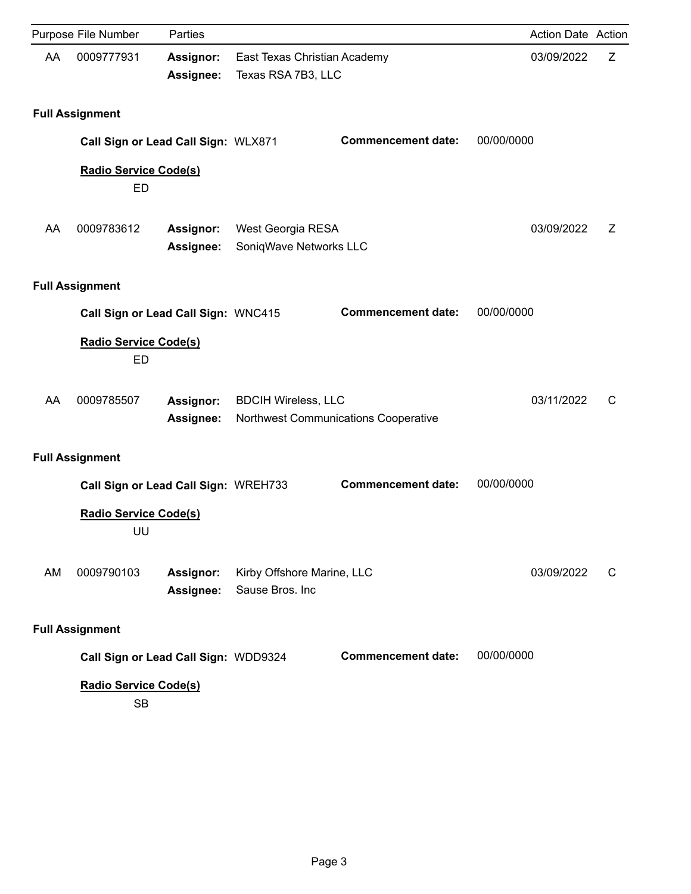|    | Purpose File Number                       | Parties                              |                                               |                                      | Action Date Action |   |
|----|-------------------------------------------|--------------------------------------|-----------------------------------------------|--------------------------------------|--------------------|---|
| AA | 0009777931                                | <b>Assignor:</b><br>Assignee:        | Texas RSA 7B3, LLC                            | East Texas Christian Academy         | 03/09/2022         | Z |
|    | <b>Full Assignment</b>                    |                                      |                                               |                                      |                    |   |
|    |                                           | Call Sign or Lead Call Sign: WLX871  |                                               | <b>Commencement date:</b>            | 00/00/0000         |   |
|    | <b>Radio Service Code(s)</b><br>ED        |                                      |                                               |                                      |                    |   |
| AA | 0009783612                                | <b>Assignor:</b><br>Assignee:        | West Georgia RESA<br>SoniqWave Networks LLC   |                                      | 03/09/2022         | Ζ |
|    | <b>Full Assignment</b>                    |                                      |                                               |                                      |                    |   |
|    | Call Sign or Lead Call Sign: WNC415       |                                      |                                               | <b>Commencement date:</b>            | 00/00/0000         |   |
|    | <b>Radio Service Code(s)</b><br><b>ED</b> |                                      |                                               |                                      |                    |   |
| AA | 0009785507                                | <b>Assignor:</b><br>Assignee:        | <b>BDCIH Wireless, LLC</b>                    | Northwest Communications Cooperative | 03/11/2022         | C |
|    | <b>Full Assignment</b>                    |                                      |                                               |                                      |                    |   |
|    |                                           | Call Sign or Lead Call Sign: WREH733 |                                               | <b>Commencement date:</b>            | 00/00/0000         |   |
|    | <b>Radio Service Code(s)</b><br>UU        |                                      |                                               |                                      |                    |   |
| AM | 0009790103                                | <b>Assignor:</b><br><b>Assignee:</b> | Kirby Offshore Marine, LLC<br>Sause Bros. Inc |                                      | 03/09/2022         | C |
|    | <b>Full Assignment</b>                    |                                      |                                               |                                      |                    |   |
|    |                                           | Call Sign or Lead Call Sign: WDD9324 |                                               | <b>Commencement date:</b>            | 00/00/0000         |   |
|    | <b>Radio Service Code(s)</b><br><b>SB</b> |                                      |                                               |                                      |                    |   |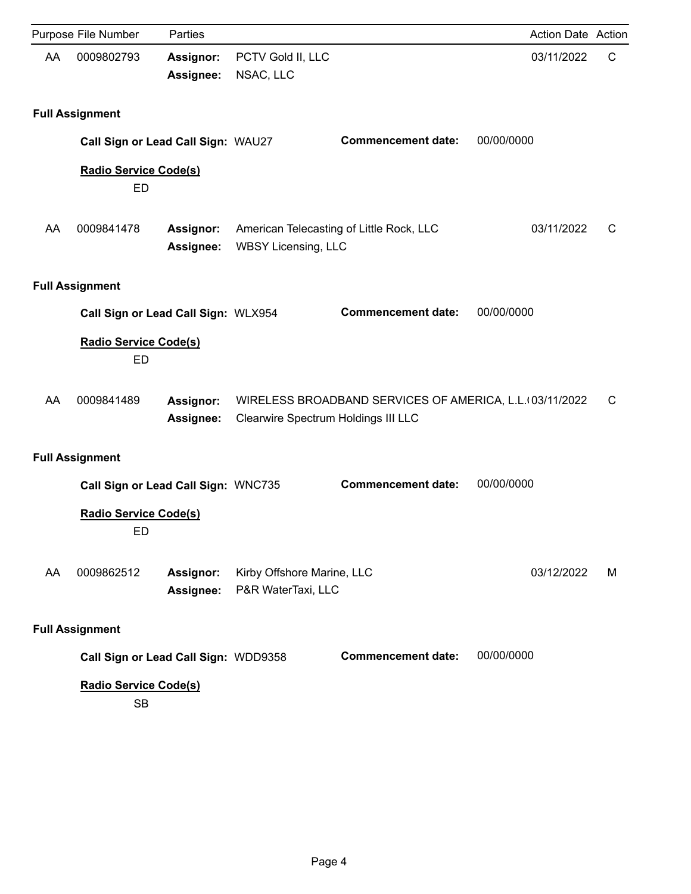|    | Purpose File Number                       | Parties                       |                                                  |                                                         | <b>Action Date Action</b> |   |
|----|-------------------------------------------|-------------------------------|--------------------------------------------------|---------------------------------------------------------|---------------------------|---|
| AA | 0009802793                                | <b>Assignor:</b><br>Assignee: | PCTV Gold II, LLC<br>NSAC, LLC                   |                                                         | 03/11/2022                | C |
|    | <b>Full Assignment</b>                    |                               |                                                  |                                                         |                           |   |
|    | Call Sign or Lead Call Sign: WAU27        |                               |                                                  | <b>Commencement date:</b>                               | 00/00/0000                |   |
|    | <b>Radio Service Code(s)</b><br>ED        |                               |                                                  |                                                         |                           |   |
| AA | 0009841478                                | <b>Assignor:</b><br>Assignee: | <b>WBSY Licensing, LLC</b>                       | American Telecasting of Little Rock, LLC                | 03/11/2022                | C |
|    | <b>Full Assignment</b>                    |                               |                                                  |                                                         |                           |   |
|    | Call Sign or Lead Call Sign: WLX954       |                               |                                                  | <b>Commencement date:</b>                               | 00/00/0000                |   |
|    | <b>Radio Service Code(s)</b><br><b>ED</b> |                               |                                                  |                                                         |                           |   |
| AA | 0009841489                                | <b>Assignor:</b><br>Assignee: | Clearwire Spectrum Holdings III LLC              | WIRELESS BROADBAND SERVICES OF AMERICA, L.L. 03/11/2022 |                           | C |
|    | <b>Full Assignment</b>                    |                               |                                                  |                                                         |                           |   |
|    | Call Sign or Lead Call Sign: WNC735       |                               |                                                  | <b>Commencement date:</b>                               | 00/00/0000                |   |
|    | <b>Radio Service Code(s)</b><br>ED        |                               |                                                  |                                                         |                           |   |
| AA | 0009862512                                | Assignor:<br><b>Assignee:</b> | Kirby Offshore Marine, LLC<br>P&R WaterTaxi, LLC |                                                         | 03/12/2022                | М |
|    | <b>Full Assignment</b>                    |                               |                                                  |                                                         |                           |   |
|    | Call Sign or Lead Call Sign: WDD9358      |                               |                                                  | <b>Commencement date:</b>                               | 00/00/0000                |   |
|    | <b>Radio Service Code(s)</b><br><b>SB</b> |                               |                                                  |                                                         |                           |   |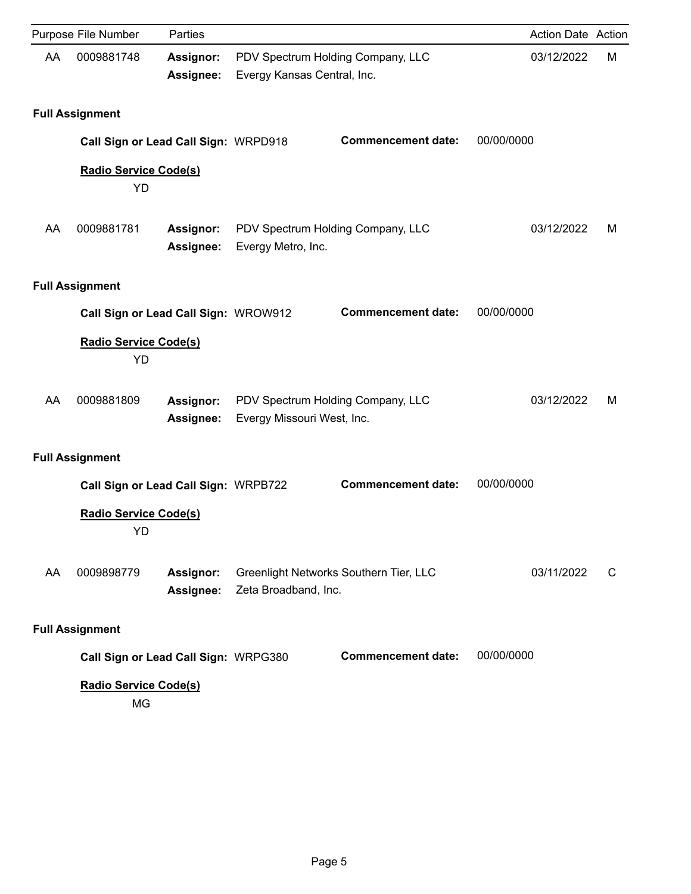|    | Purpose File Number                       | Parties                       |                             |                                        | Action Date Action |   |
|----|-------------------------------------------|-------------------------------|-----------------------------|----------------------------------------|--------------------|---|
| AA | 0009881748                                | Assignor:<br>Assignee:        | Evergy Kansas Central, Inc. | PDV Spectrum Holding Company, LLC      | 03/12/2022         | M |
|    | <b>Full Assignment</b>                    |                               |                             |                                        |                    |   |
|    | Call Sign or Lead Call Sign: WRPD918      |                               |                             | <b>Commencement date:</b>              | 00/00/0000         |   |
|    | <b>Radio Service Code(s)</b><br>YD        |                               |                             |                                        |                    |   |
| AA | 0009881781                                | Assignor:<br>Assignee:        | Evergy Metro, Inc.          | PDV Spectrum Holding Company, LLC      | 03/12/2022         | M |
|    | <b>Full Assignment</b>                    |                               |                             |                                        |                    |   |
|    | Call Sign or Lead Call Sign: WROW912      |                               |                             | <b>Commencement date:</b>              | 00/00/0000         |   |
|    | <b>Radio Service Code(s)</b><br>YD        |                               |                             |                                        |                    |   |
| AA | 0009881809                                | <b>Assignor:</b><br>Assignee: | Evergy Missouri West, Inc.  | PDV Spectrum Holding Company, LLC      | 03/12/2022         | м |
|    | <b>Full Assignment</b>                    |                               |                             |                                        |                    |   |
|    | Call Sign or Lead Call Sign: WRPB722      |                               |                             | <b>Commencement date:</b>              | 00/00/0000         |   |
|    | <b>Radio Service Code(s)</b><br><b>YD</b> |                               |                             |                                        |                    |   |
| AA | 0009898779                                | Assignor:<br>Assignee:        | Zeta Broadband, Inc.        | Greenlight Networks Southern Tier, LLC | 03/11/2022         | C |
|    | <b>Full Assignment</b>                    |                               |                             |                                        |                    |   |
|    | Call Sign or Lead Call Sign: WRPG380      |                               |                             | <b>Commencement date:</b>              | 00/00/0000         |   |
|    | <b>Radio Service Code(s)</b><br>MG        |                               |                             |                                        |                    |   |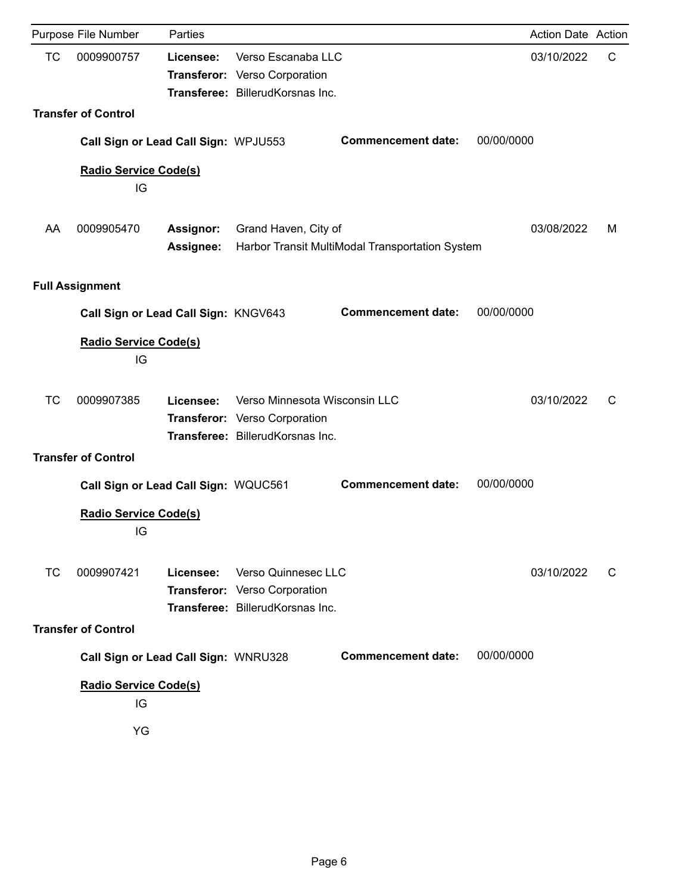|           | Purpose File Number                  | Parties                       |                                                                                                    |                                                 |            | <b>Action Date Action</b> |   |
|-----------|--------------------------------------|-------------------------------|----------------------------------------------------------------------------------------------------|-------------------------------------------------|------------|---------------------------|---|
| <b>TC</b> | 0009900757                           | Licensee:                     | Verso Escanaba LLC<br>Transferor: Verso Corporation<br>Transferee: BillerudKorsnas Inc.            |                                                 |            | 03/10/2022                | C |
|           | <b>Transfer of Control</b>           |                               |                                                                                                    |                                                 |            |                           |   |
|           | Call Sign or Lead Call Sign: WPJU553 |                               |                                                                                                    | <b>Commencement date:</b>                       | 00/00/0000 |                           |   |
|           | <b>Radio Service Code(s)</b><br>IG   |                               |                                                                                                    |                                                 |            |                           |   |
| AA        | 0009905470                           | <b>Assignor:</b><br>Assignee: | Grand Haven, City of                                                                               | Harbor Transit MultiModal Transportation System |            | 03/08/2022                | м |
|           | <b>Full Assignment</b>               |                               |                                                                                                    |                                                 |            |                           |   |
|           | Call Sign or Lead Call Sign: KNGV643 |                               |                                                                                                    | <b>Commencement date:</b>                       | 00/00/0000 |                           |   |
|           | <b>Radio Service Code(s)</b><br>IG   |                               |                                                                                                    |                                                 |            |                           |   |
| <b>TC</b> | 0009907385                           | Licensee:                     | Verso Minnesota Wisconsin LLC<br>Transferor: Verso Corporation<br>Transferee: BillerudKorsnas Inc. |                                                 |            | 03/10/2022                | С |
|           | <b>Transfer of Control</b>           |                               |                                                                                                    |                                                 |            |                           |   |
|           | Call Sign or Lead Call Sign: WQUC561 |                               |                                                                                                    | <b>Commencement date:</b>                       | 00/00/0000 |                           |   |
|           | <b>Radio Service Code(s)</b><br>IG   |                               |                                                                                                    |                                                 |            |                           |   |
| <b>TC</b> | 0009907421                           | Licensee:                     | Verso Quinnesec LLC<br>Transferor: Verso Corporation<br>Transferee: BillerudKorsnas Inc.           |                                                 |            | 03/10/2022                | C |
|           | <b>Transfer of Control</b>           |                               |                                                                                                    |                                                 |            |                           |   |
|           | Call Sign or Lead Call Sign: WNRU328 |                               |                                                                                                    | <b>Commencement date:</b>                       | 00/00/0000 |                           |   |
|           | <b>Radio Service Code(s)</b><br>IG   |                               |                                                                                                    |                                                 |            |                           |   |
|           | YG                                   |                               |                                                                                                    |                                                 |            |                           |   |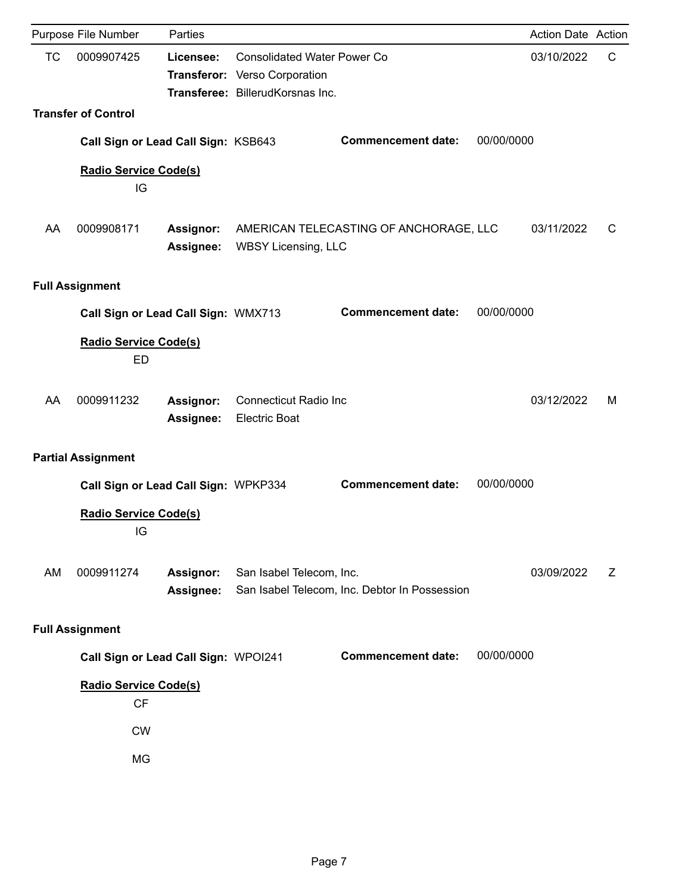|           | Purpose File Number                       | Parties                       |                                                                                                         |                                               |            | <b>Action Date Action</b> |   |
|-----------|-------------------------------------------|-------------------------------|---------------------------------------------------------------------------------------------------------|-----------------------------------------------|------------|---------------------------|---|
| <b>TC</b> | 0009907425                                | Licensee:                     | <b>Consolidated Water Power Co</b><br>Transferor: Verso Corporation<br>Transferee: BillerudKorsnas Inc. |                                               |            | 03/10/2022                | C |
|           | <b>Transfer of Control</b>                |                               |                                                                                                         |                                               |            |                           |   |
|           | Call Sign or Lead Call Sign: KSB643       |                               |                                                                                                         | <b>Commencement date:</b>                     | 00/00/0000 |                           |   |
|           | <b>Radio Service Code(s)</b><br>IG        |                               |                                                                                                         |                                               |            |                           |   |
| AA        | 0009908171                                | <b>Assignor:</b><br>Assignee: | <b>WBSY Licensing, LLC</b>                                                                              | AMERICAN TELECASTING OF ANCHORAGE, LLC        |            | 03/11/2022                | C |
|           | <b>Full Assignment</b>                    |                               |                                                                                                         |                                               |            |                           |   |
|           | Call Sign or Lead Call Sign: WMX713       |                               |                                                                                                         | <b>Commencement date:</b>                     | 00/00/0000 |                           |   |
|           | <b>Radio Service Code(s)</b><br><b>ED</b> |                               |                                                                                                         |                                               |            |                           |   |
| AA        | 0009911232                                | <b>Assignor:</b><br>Assignee: | <b>Connecticut Radio Inc</b><br><b>Electric Boat</b>                                                    |                                               |            | 03/12/2022                | м |
|           | <b>Partial Assignment</b>                 |                               |                                                                                                         |                                               |            |                           |   |
|           | Call Sign or Lead Call Sign: WPKP334      |                               |                                                                                                         | <b>Commencement date:</b>                     | 00/00/0000 |                           |   |
|           | <b>Radio Service Code(s)</b><br>IG        |                               |                                                                                                         |                                               |            |                           |   |
| AM        | 0009911274                                | Assignor:<br><b>Assignee:</b> | San Isabel Telecom, Inc.                                                                                | San Isabel Telecom, Inc. Debtor In Possession |            | 03/09/2022                | Z |
|           | <b>Full Assignment</b>                    |                               |                                                                                                         |                                               |            |                           |   |
|           | Call Sign or Lead Call Sign: WPOI241      |                               |                                                                                                         | <b>Commencement date:</b>                     | 00/00/0000 |                           |   |
|           | <b>Radio Service Code(s)</b><br>CF        |                               |                                                                                                         |                                               |            |                           |   |
|           | <b>CW</b>                                 |                               |                                                                                                         |                                               |            |                           |   |
|           | MG                                        |                               |                                                                                                         |                                               |            |                           |   |
|           |                                           |                               |                                                                                                         |                                               |            |                           |   |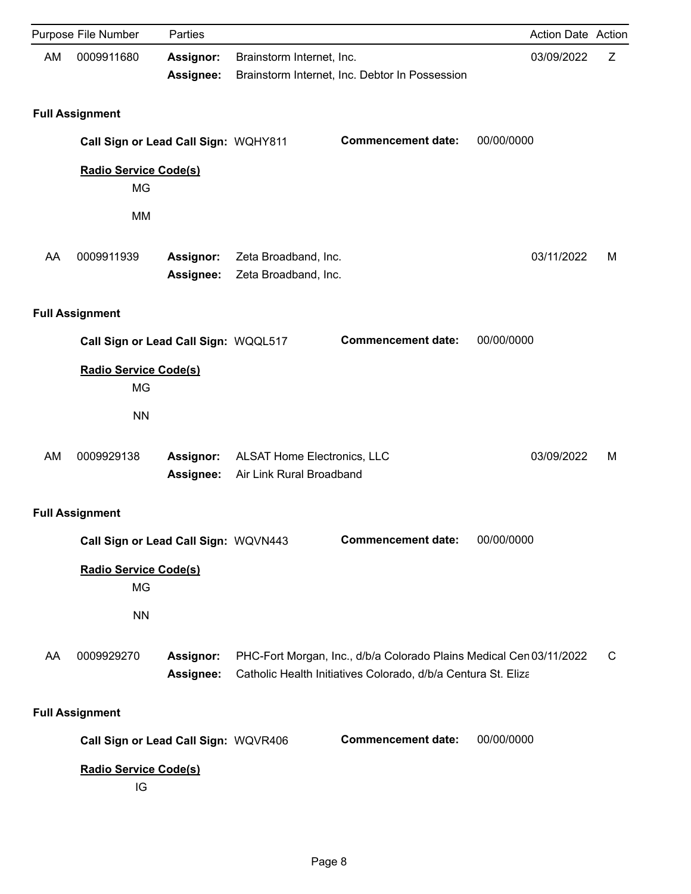|    | Purpose File Number                       | Parties                       |                                                                |                                                                                                                                      |            | <b>Action Date Action</b> |   |
|----|-------------------------------------------|-------------------------------|----------------------------------------------------------------|--------------------------------------------------------------------------------------------------------------------------------------|------------|---------------------------|---|
| AM | 0009911680                                | Assignor:<br>Assignee:        | Brainstorm Internet, Inc.                                      | Brainstorm Internet, Inc. Debtor In Possession                                                                                       |            | 03/09/2022                | Ζ |
|    | <b>Full Assignment</b>                    |                               |                                                                |                                                                                                                                      |            |                           |   |
|    | Call Sign or Lead Call Sign: WQHY811      |                               |                                                                | <b>Commencement date:</b>                                                                                                            | 00/00/0000 |                           |   |
|    | <b>Radio Service Code(s)</b><br><b>MG</b> |                               |                                                                |                                                                                                                                      |            |                           |   |
|    | <b>MM</b>                                 |                               |                                                                |                                                                                                                                      |            |                           |   |
| AA | 0009911939                                | <b>Assignor:</b><br>Assignee: | Zeta Broadband, Inc.<br>Zeta Broadband, Inc.                   |                                                                                                                                      |            | 03/11/2022                | M |
|    | <b>Full Assignment</b>                    |                               |                                                                |                                                                                                                                      |            |                           |   |
|    | Call Sign or Lead Call Sign: WQQL517      |                               |                                                                | <b>Commencement date:</b>                                                                                                            | 00/00/0000 |                           |   |
|    | <b>Radio Service Code(s)</b><br><b>MG</b> |                               |                                                                |                                                                                                                                      |            |                           |   |
|    | <b>NN</b>                                 |                               |                                                                |                                                                                                                                      |            |                           |   |
| AM | 0009929138                                | <b>Assignor:</b><br>Assignee: | <b>ALSAT Home Electronics, LLC</b><br>Air Link Rural Broadband |                                                                                                                                      |            | 03/09/2022                | M |
|    | <b>Full Assignment</b>                    |                               |                                                                |                                                                                                                                      |            |                           |   |
|    | Call Sign or Lead Call Sign: WQVN443      |                               |                                                                | <b>Commencement date:</b>                                                                                                            | 00/00/0000 |                           |   |
|    | Radio Service Code(s)<br>MG               |                               |                                                                |                                                                                                                                      |            |                           |   |
|    | <b>NN</b>                                 |                               |                                                                |                                                                                                                                      |            |                           |   |
| AA | 0009929270                                | Assignor:<br>Assignee:        |                                                                | PHC-Fort Morgan, Inc., d/b/a Colorado Plains Medical Cen 03/11/2022<br>Catholic Health Initiatives Colorado, d/b/a Centura St. Eliza |            |                           | C |
|    | <b>Full Assignment</b>                    |                               |                                                                |                                                                                                                                      |            |                           |   |
|    | Call Sign or Lead Call Sign: WQVR406      |                               |                                                                | <b>Commencement date:</b>                                                                                                            | 00/00/0000 |                           |   |
|    | <b>Radio Service Code(s)</b><br>IG        |                               |                                                                |                                                                                                                                      |            |                           |   |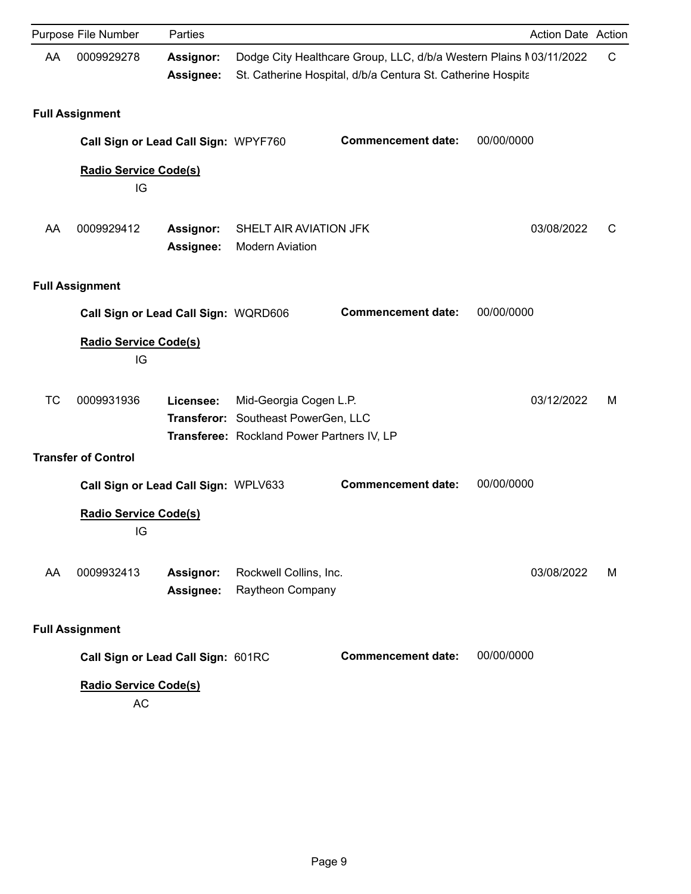|           | Purpose File Number                       | Parties                              |                                                                                                 |                                                                                                                                   | Action Date Action |             |
|-----------|-------------------------------------------|--------------------------------------|-------------------------------------------------------------------------------------------------|-----------------------------------------------------------------------------------------------------------------------------------|--------------------|-------------|
| AA        | 0009929278                                | Assignor:<br>Assignee:               |                                                                                                 | Dodge City Healthcare Group, LLC, d/b/a Western Plains M03/11/2022<br>St. Catherine Hospital, d/b/a Centura St. Catherine Hospita |                    | $\mathsf C$ |
|           | <b>Full Assignment</b>                    |                                      |                                                                                                 |                                                                                                                                   |                    |             |
|           | Call Sign or Lead Call Sign: WPYF760      |                                      |                                                                                                 | <b>Commencement date:</b>                                                                                                         | 00/00/0000         |             |
|           | <b>Radio Service Code(s)</b><br>IG        |                                      |                                                                                                 |                                                                                                                                   |                    |             |
| AA        | 0009929412                                | Assignor:<br>Assignee:               | SHELT AIR AVIATION JFK<br><b>Modern Aviation</b>                                                |                                                                                                                                   | 03/08/2022         | C           |
|           | <b>Full Assignment</b>                    |                                      |                                                                                                 |                                                                                                                                   |                    |             |
|           | Call Sign or Lead Call Sign: WQRD606      |                                      |                                                                                                 | <b>Commencement date:</b>                                                                                                         | 00/00/0000         |             |
|           | <b>Radio Service Code(s)</b><br>IG        |                                      |                                                                                                 |                                                                                                                                   |                    |             |
| <b>TC</b> | 0009931936                                | Licensee:<br>Transferor:             | Mid-Georgia Cogen L.P.<br>Southeast PowerGen, LLC<br>Transferee: Rockland Power Partners IV, LP |                                                                                                                                   | 03/12/2022         | м           |
|           | <b>Transfer of Control</b>                |                                      |                                                                                                 |                                                                                                                                   |                    |             |
|           | Call Sign or Lead Call Sign: WPLV633      |                                      |                                                                                                 | <b>Commencement date:</b>                                                                                                         | 00/00/0000         |             |
|           | <b>Radio Service Code(s)</b><br>IG        |                                      |                                                                                                 |                                                                                                                                   |                    |             |
| AA        | 0009932413                                | <b>Assignor:</b><br><b>Assignee:</b> | Rockwell Collins, Inc.<br>Raytheon Company                                                      |                                                                                                                                   | 03/08/2022         | м           |
|           | <b>Full Assignment</b>                    |                                      |                                                                                                 |                                                                                                                                   |                    |             |
|           | Call Sign or Lead Call Sign: 601RC        |                                      |                                                                                                 | <b>Commencement date:</b>                                                                                                         | 00/00/0000         |             |
|           | <b>Radio Service Code(s)</b><br><b>AC</b> |                                      |                                                                                                 |                                                                                                                                   |                    |             |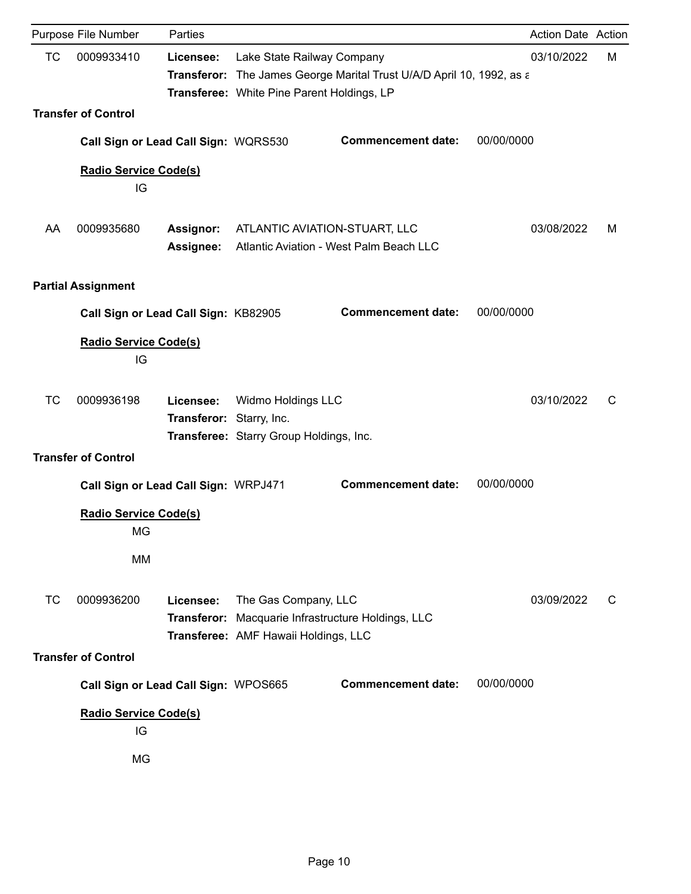|           | Purpose File Number                  | Parties                               |                                                                          |                                                                       |            | Action Date Action |   |
|-----------|--------------------------------------|---------------------------------------|--------------------------------------------------------------------------|-----------------------------------------------------------------------|------------|--------------------|---|
| TC        | 0009933410                           | Licensee:                             | Lake State Railway Company<br>Transferee: White Pine Parent Holdings, LP | Transferor: The James George Marital Trust U/A/D April 10, 1992, as a |            | 03/10/2022         | м |
|           | <b>Transfer of Control</b>           |                                       |                                                                          |                                                                       |            |                    |   |
|           | Call Sign or Lead Call Sign: WQRS530 |                                       |                                                                          | <b>Commencement date:</b>                                             | 00/00/0000 |                    |   |
|           | <b>Radio Service Code(s)</b><br>IG   |                                       |                                                                          |                                                                       |            |                    |   |
| AA        | 0009935680                           | <b>Assignor:</b><br><b>Assignee:</b>  | ATLANTIC AVIATION-STUART, LLC                                            | Atlantic Aviation - West Palm Beach LLC                               |            | 03/08/2022         | м |
|           | <b>Partial Assignment</b>            |                                       |                                                                          |                                                                       |            |                    |   |
|           | Call Sign or Lead Call Sign: KB82905 |                                       |                                                                          | <b>Commencement date:</b>                                             | 00/00/0000 |                    |   |
|           | <b>Radio Service Code(s)</b><br>IG   |                                       |                                                                          |                                                                       |            |                    |   |
| <b>TC</b> | 0009936198                           | Licensee:<br>Transferor: Starry, Inc. | Widmo Holdings LLC<br>Transferee: Starry Group Holdings, Inc.            |                                                                       |            | 03/10/2022         | С |
|           | <b>Transfer of Control</b>           |                                       |                                                                          |                                                                       |            |                    |   |
|           | Call Sign or Lead Call Sign: WRPJ471 |                                       |                                                                          | <b>Commencement date:</b>                                             | 00/00/0000 |                    |   |
|           | <b>Radio Service Code(s)</b><br>MG   |                                       |                                                                          |                                                                       |            |                    |   |
|           | MM                                   |                                       |                                                                          |                                                                       |            |                    |   |
| <b>TC</b> | 0009936200                           | Licensee:<br>Transferor:              | The Gas Company, LLC<br>Transferee: AMF Hawaii Holdings, LLC             | Macquarie Infrastructure Holdings, LLC                                |            | 03/09/2022         | С |
|           | <b>Transfer of Control</b>           |                                       |                                                                          |                                                                       |            |                    |   |
|           | Call Sign or Lead Call Sign: WPOS665 |                                       |                                                                          | <b>Commencement date:</b>                                             | 00/00/0000 |                    |   |
|           | <b>Radio Service Code(s)</b><br>IG   |                                       |                                                                          |                                                                       |            |                    |   |
|           | MG                                   |                                       |                                                                          |                                                                       |            |                    |   |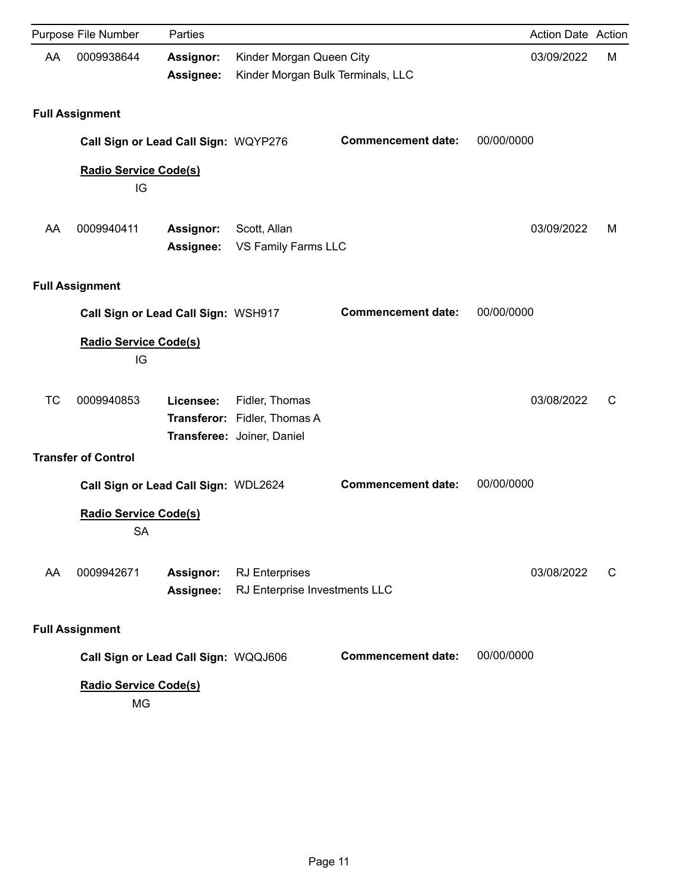|           | Purpose File Number                       | Parties                       |                                                            |                           | <b>Action Date Action</b> |   |
|-----------|-------------------------------------------|-------------------------------|------------------------------------------------------------|---------------------------|---------------------------|---|
| AA        | 0009938644                                | <b>Assignor:</b>              | Kinder Morgan Queen City                                   |                           | 03/09/2022                | M |
|           |                                           | Assignee:                     | Kinder Morgan Bulk Terminals, LLC                          |                           |                           |   |
|           | <b>Full Assignment</b>                    |                               |                                                            |                           |                           |   |
|           | Call Sign or Lead Call Sign: WQYP276      |                               |                                                            | <b>Commencement date:</b> | 00/00/0000                |   |
|           | <b>Radio Service Code(s)</b><br>IG        |                               |                                                            |                           |                           |   |
| AA        | 0009940411                                | Assignor:<br>Assignee:        | Scott, Allan<br>VS Family Farms LLC                        |                           | 03/09/2022                | м |
|           | <b>Full Assignment</b>                    |                               |                                                            |                           |                           |   |
|           | Call Sign or Lead Call Sign: WSH917       |                               |                                                            | <b>Commencement date:</b> | 00/00/0000                |   |
|           | <b>Radio Service Code(s)</b><br>IG        |                               |                                                            |                           |                           |   |
| <b>TC</b> | 0009940853                                | Licensee:                     | Fidler, Thomas                                             |                           | 03/08/2022                | C |
|           |                                           |                               | Transferor: Fidler, Thomas A<br>Transferee: Joiner, Daniel |                           |                           |   |
|           | <b>Transfer of Control</b>                |                               |                                                            |                           |                           |   |
|           | Call Sign or Lead Call Sign: WDL2624      |                               |                                                            | <b>Commencement date:</b> | 00/00/0000                |   |
|           | <b>Radio Service Code(s)</b><br><b>SA</b> |                               |                                                            |                           |                           |   |
| AA        | 0009942671                                | Assignor:<br><b>Assignee:</b> | <b>RJ</b> Enterprises<br>RJ Enterprise Investments LLC     |                           | 03/08/2022                | C |
|           | <b>Full Assignment</b>                    |                               |                                                            |                           |                           |   |
|           | Call Sign or Lead Call Sign: WQQJ606      |                               |                                                            | <b>Commencement date:</b> | 00/00/0000                |   |
|           | <b>Radio Service Code(s)</b><br>MG        |                               |                                                            |                           |                           |   |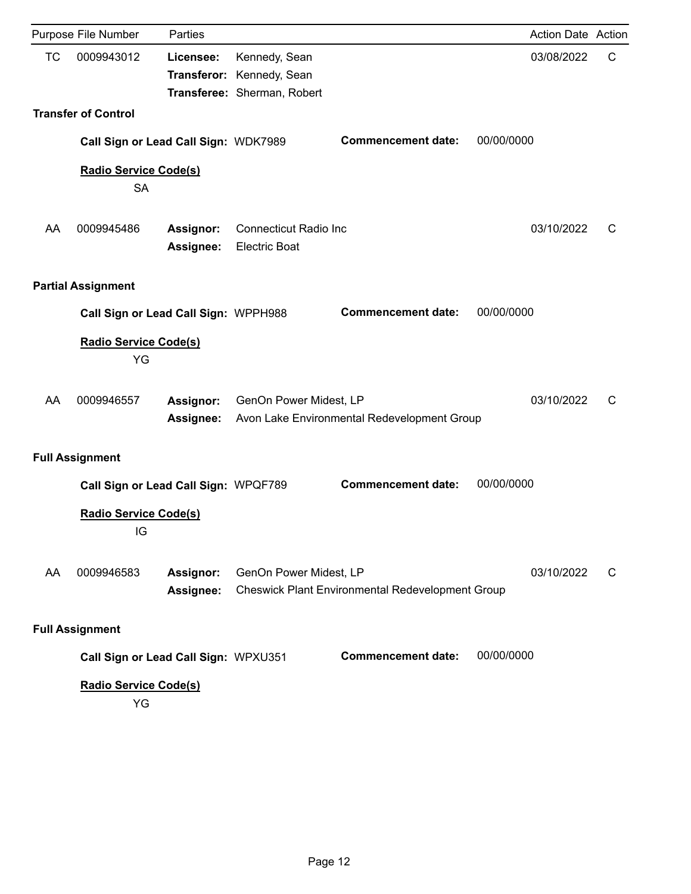|           | Purpose File Number                       | Parties                       |                                                                           |                                                         |            | <b>Action Date Action</b> |   |
|-----------|-------------------------------------------|-------------------------------|---------------------------------------------------------------------------|---------------------------------------------------------|------------|---------------------------|---|
| <b>TC</b> | 0009943012                                | Licensee:                     | Kennedy, Sean<br>Transferor: Kennedy, Sean<br>Transferee: Sherman, Robert |                                                         |            | 03/08/2022                | C |
|           | <b>Transfer of Control</b>                |                               |                                                                           |                                                         |            |                           |   |
|           | Call Sign or Lead Call Sign: WDK7989      |                               |                                                                           | <b>Commencement date:</b>                               | 00/00/0000 |                           |   |
|           | <b>Radio Service Code(s)</b><br><b>SA</b> |                               |                                                                           |                                                         |            |                           |   |
| AA        | 0009945486                                | <b>Assignor:</b><br>Assignee: | <b>Connecticut Radio Inc</b><br><b>Electric Boat</b>                      |                                                         |            | 03/10/2022                | С |
|           | <b>Partial Assignment</b>                 |                               |                                                                           |                                                         |            |                           |   |
|           | Call Sign or Lead Call Sign: WPPH988      |                               |                                                                           | <b>Commencement date:</b>                               | 00/00/0000 |                           |   |
|           | <b>Radio Service Code(s)</b><br>YG        |                               |                                                                           |                                                         |            |                           |   |
| AA        | 0009946557                                | Assignor:<br>Assignee:        | GenOn Power Midest, LP                                                    | Avon Lake Environmental Redevelopment Group             |            | 03/10/2022                | C |
|           | <b>Full Assignment</b>                    |                               |                                                                           |                                                         |            |                           |   |
|           | Call Sign or Lead Call Sign: WPQF789      |                               |                                                                           | <b>Commencement date:</b>                               | 00/00/0000 |                           |   |
|           | <b>Radio Service Code(s)</b><br>IG        |                               |                                                                           |                                                         |            |                           |   |
| AA        | 0009946583                                | Assignor:<br>Assignee:        | GenOn Power Midest, LP                                                    | <b>Cheswick Plant Environmental Redevelopment Group</b> |            | 03/10/2022                | C |
|           | <b>Full Assignment</b>                    |                               |                                                                           |                                                         |            |                           |   |
|           | Call Sign or Lead Call Sign: WPXU351      |                               |                                                                           | <b>Commencement date:</b>                               | 00/00/0000 |                           |   |
|           | <b>Radio Service Code(s)</b><br>YG        |                               |                                                                           |                                                         |            |                           |   |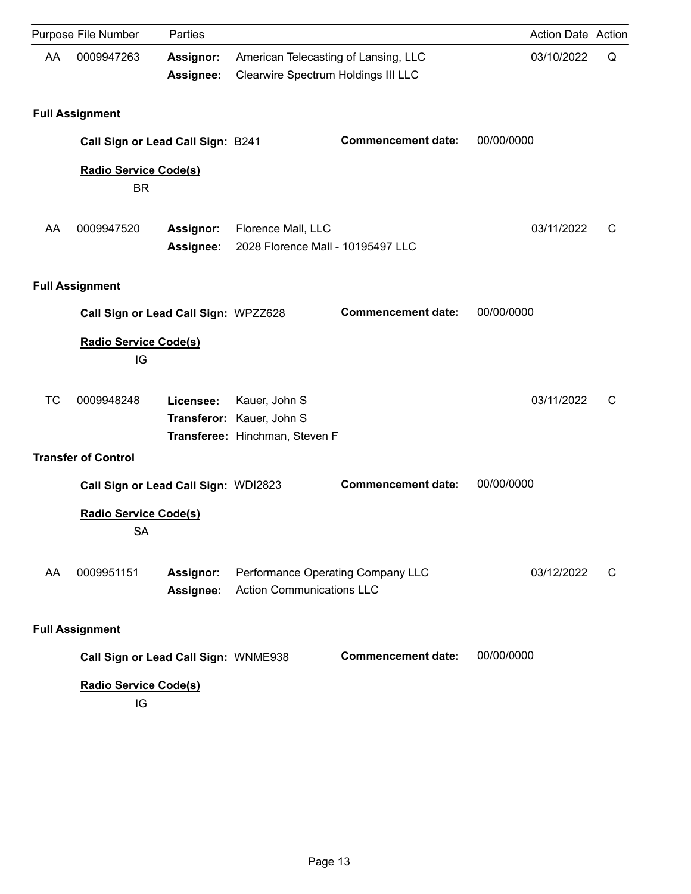|    | Purpose File Number                       | Parties                         |                                                                       |                                                                                           | Action Date Action |   |
|----|-------------------------------------------|---------------------------------|-----------------------------------------------------------------------|-------------------------------------------------------------------------------------------|--------------------|---|
| AA | 0009947263                                | <b>Assignor:</b><br>Assignee:   |                                                                       | American Telecasting of Lansing, LLC<br>03/10/2022<br>Clearwire Spectrum Holdings III LLC |                    |   |
|    | <b>Full Assignment</b>                    |                                 |                                                                       |                                                                                           |                    |   |
|    | Call Sign or Lead Call Sign: B241         |                                 |                                                                       | <b>Commencement date:</b>                                                                 | 00/00/0000         |   |
|    | <b>Radio Service Code(s)</b><br><b>BR</b> |                                 |                                                                       |                                                                                           |                    |   |
| AA | 0009947520                                | <b>Assignor:</b><br>Assignee:   | Florence Mall, LLC<br>2028 Florence Mall - 10195497 LLC               |                                                                                           | 03/11/2022         | C |
|    | <b>Full Assignment</b>                    |                                 |                                                                       |                                                                                           |                    |   |
|    | Call Sign or Lead Call Sign: WPZZ628      |                                 |                                                                       | <b>Commencement date:</b>                                                                 | 00/00/0000         |   |
|    | <b>Radio Service Code(s)</b><br>IG        |                                 |                                                                       |                                                                                           |                    |   |
| TC | 0009948248                                | Licensee:<br><b>Transferor:</b> | Kauer, John S<br>Kauer, John S<br>Transferee: Hinchman, Steven F      |                                                                                           | 03/11/2022         | C |
|    | <b>Transfer of Control</b>                |                                 |                                                                       |                                                                                           |                    |   |
|    | Call Sign or Lead Call Sign: WDI2823      |                                 |                                                                       | <b>Commencement date:</b>                                                                 | 00/00/0000         |   |
|    | <b>Radio Service Code(s)</b><br><b>SA</b> |                                 |                                                                       |                                                                                           |                    |   |
| AA | 0009951151                                | Assignor:<br><b>Assignee:</b>   | Performance Operating Company LLC<br><b>Action Communications LLC</b> |                                                                                           | 03/12/2022         | C |
|    | <b>Full Assignment</b>                    |                                 |                                                                       |                                                                                           |                    |   |
|    | Call Sign or Lead Call Sign: WNME938      |                                 |                                                                       | <b>Commencement date:</b>                                                                 | 00/00/0000         |   |
|    | Radio Service Code(s)<br>IG               |                                 |                                                                       |                                                                                           |                    |   |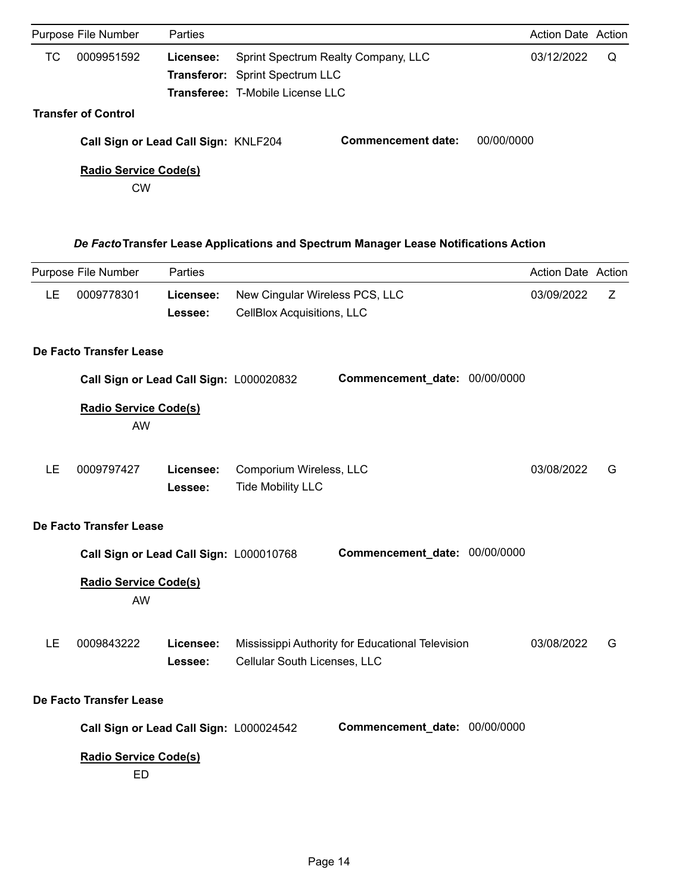|            | Parties                                           |                              |                                      |                                                                                                                   |                                  |  |
|------------|---------------------------------------------------|------------------------------|--------------------------------------|-------------------------------------------------------------------------------------------------------------------|----------------------------------|--|
| 0009951592 | Licensee:                                         |                              |                                      |                                                                                                                   | Q                                |  |
|            |                                                   |                              |                                      |                                                                                                                   |                                  |  |
|            |                                                   |                              |                                      |                                                                                                                   |                                  |  |
|            |                                                   |                              |                                      |                                                                                                                   |                                  |  |
|            |                                                   |                              | <b>Commencement date:</b>            | 00/00/0000                                                                                                        |                                  |  |
| <b>CW</b>  |                                                   |                              |                                      |                                                                                                                   |                                  |  |
|            |                                                   |                              |                                      |                                                                                                                   |                                  |  |
|            | Purpose File Number<br><b>Transfer of Control</b> | <b>Radio Service Code(s)</b> | Call Sign or Lead Call Sign: KNLF204 | Sprint Spectrum Realty Company, LLC<br><b>Transferor:</b> Sprint Spectrum LLC<br>Transferee: T-Mobile License LLC | Action Date Action<br>03/12/2022 |  |

# *De Facto***Transfer Lease Applications and Spectrum Manager Lease Notifications Action**

|           | Purpose File Number                       | Parties              |                                                              |                                                  | Action Date Action |   |
|-----------|-------------------------------------------|----------------------|--------------------------------------------------------------|--------------------------------------------------|--------------------|---|
| LE.       | 0009778301                                | Licensee:<br>Lessee: | New Cingular Wireless PCS, LLC<br>CellBlox Acquisitions, LLC |                                                  | 03/09/2022         | Z |
|           | De Facto Transfer Lease                   |                      |                                                              |                                                  |                    |   |
|           | Call Sign or Lead Call Sign: L000020832   |                      |                                                              | Commencement_date: 00/00/0000                    |                    |   |
|           | <b>Radio Service Code(s)</b><br>AW        |                      |                                                              |                                                  |                    |   |
| LE        | 0009797427                                | Licensee:<br>Lessee: | Comporium Wireless, LLC<br><b>Tide Mobility LLC</b>          |                                                  | 03/08/2022         | G |
|           | De Facto Transfer Lease                   |                      |                                                              |                                                  |                    |   |
|           | Call Sign or Lead Call Sign: L000010768   |                      |                                                              | Commencement_date: 00/00/0000                    |                    |   |
|           | <b>Radio Service Code(s)</b><br>AW        |                      |                                                              |                                                  |                    |   |
| <b>LE</b> | 0009843222                                | Licensee:<br>Lessee: | Cellular South Licenses, LLC                                 | Mississippi Authority for Educational Television | 03/08/2022         | G |
|           | De Facto Transfer Lease                   |                      |                                                              |                                                  |                    |   |
|           | Call Sign or Lead Call Sign: L000024542   |                      |                                                              | Commencement_date: 00/00/0000                    |                    |   |
|           | <b>Radio Service Code(s)</b><br><b>ED</b> |                      |                                                              |                                                  |                    |   |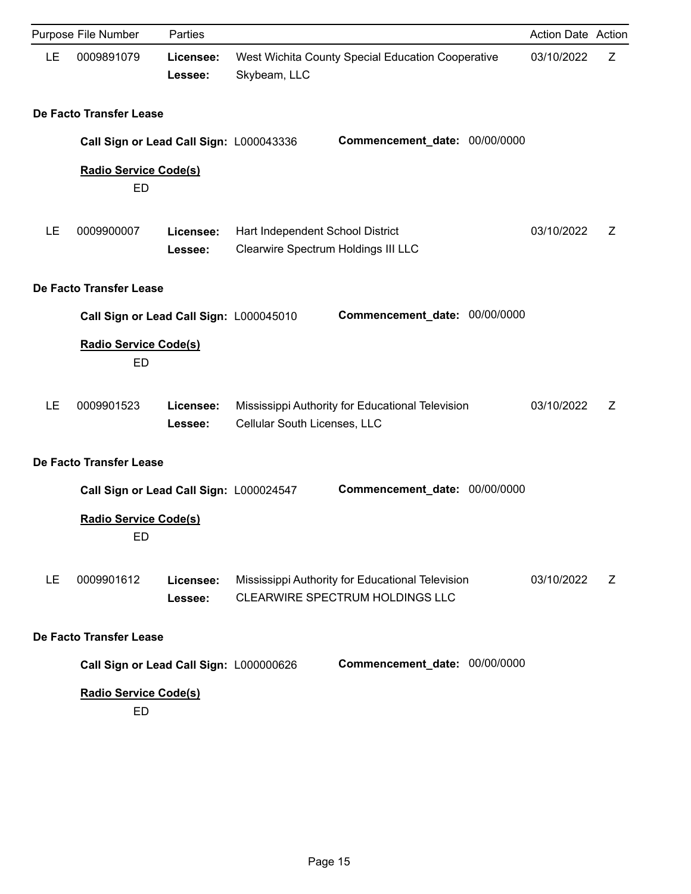|           | Purpose File Number                       | Parties              |                                                                                     | Action Date Action |   |
|-----------|-------------------------------------------|----------------------|-------------------------------------------------------------------------------------|--------------------|---|
| LE        | 0009891079                                | Licensee:<br>Lessee: | West Wichita County Special Education Cooperative<br>Skybeam, LLC                   | 03/10/2022         | Z |
|           | De Facto Transfer Lease                   |                      |                                                                                     |                    |   |
|           | Call Sign or Lead Call Sign: L000043336   |                      | Commencement_date: 00/00/0000                                                       |                    |   |
|           | <b>Radio Service Code(s)</b><br><b>ED</b> |                      |                                                                                     |                    |   |
| LE        | 0009900007                                | Licensee:<br>Lessee: | Hart Independent School District<br>Clearwire Spectrum Holdings III LLC             | 03/10/2022         | Ζ |
|           | De Facto Transfer Lease                   |                      |                                                                                     |                    |   |
|           | Call Sign or Lead Call Sign: L000045010   |                      | Commencement_date: 00/00/0000                                                       |                    |   |
|           | <b>Radio Service Code(s)</b><br><b>ED</b> |                      |                                                                                     |                    |   |
| LE        | 0009901523                                | Licensee:<br>Lessee: | Mississippi Authority for Educational Television<br>Cellular South Licenses, LLC    | 03/10/2022         | Ζ |
|           | De Facto Transfer Lease                   |                      |                                                                                     |                    |   |
|           | Call Sign or Lead Call Sign: L000024547   |                      | Commencement_date: 00/00/0000                                                       |                    |   |
|           | <b>Radio Service Code(s)</b><br>ED        |                      |                                                                                     |                    |   |
| <b>LE</b> | 0009901612                                | Licensee:<br>Lessee: | Mississippi Authority for Educational Television<br>CLEARWIRE SPECTRUM HOLDINGS LLC | 03/10/2022         | Ζ |
|           | De Facto Transfer Lease                   |                      |                                                                                     |                    |   |
|           | Call Sign or Lead Call Sign: L000000626   |                      | Commencement_date: 00/00/0000                                                       |                    |   |
|           | <b>Radio Service Code(s)</b><br>ED        |                      |                                                                                     |                    |   |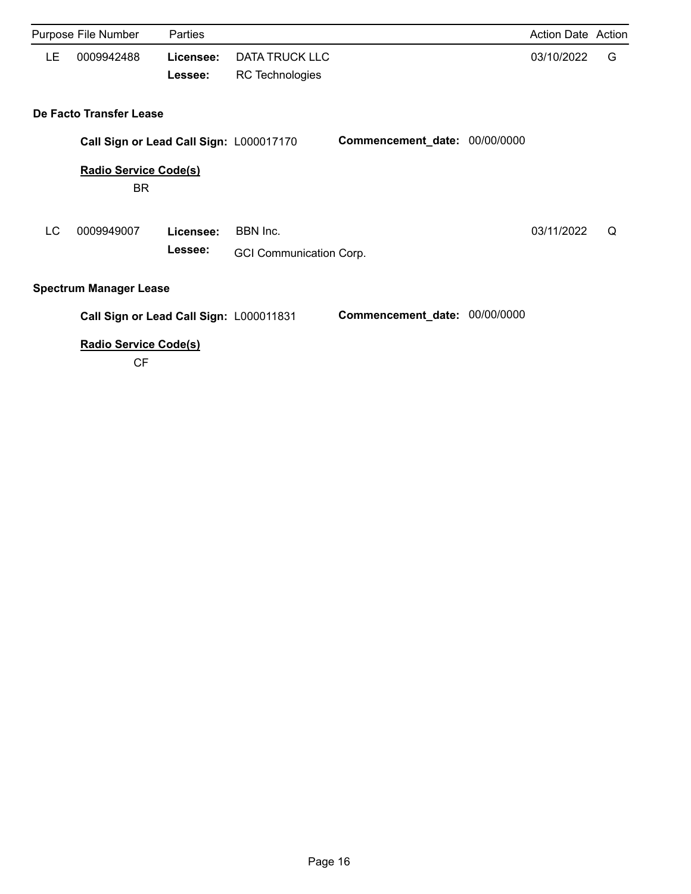|    | Purpose File Number                       | Parties   |                                |                               | Action Date Action |   |
|----|-------------------------------------------|-----------|--------------------------------|-------------------------------|--------------------|---|
| LE | 0009942488                                | Licensee: | <b>DATA TRUCK LLC</b>          |                               | 03/10/2022         | G |
|    |                                           | Lessee:   | <b>RC</b> Technologies         |                               |                    |   |
|    | De Facto Transfer Lease                   |           |                                |                               |                    |   |
|    | Call Sign or Lead Call Sign: L000017170   |           |                                | Commencement_date: 00/00/0000 |                    |   |
|    | <b>Radio Service Code(s)</b><br>BR        |           |                                |                               |                    |   |
| LC | 0009949007                                | Licensee: | BBN Inc.                       |                               | 03/11/2022         | Q |
|    |                                           | Lessee:   | <b>GCI Communication Corp.</b> |                               |                    |   |
|    | <b>Spectrum Manager Lease</b>             |           |                                |                               |                    |   |
|    | Call Sign or Lead Call Sign: L000011831   |           |                                | Commencement_date: 00/00/0000 |                    |   |
|    | <b>Radio Service Code(s)</b><br><b>CF</b> |           |                                |                               |                    |   |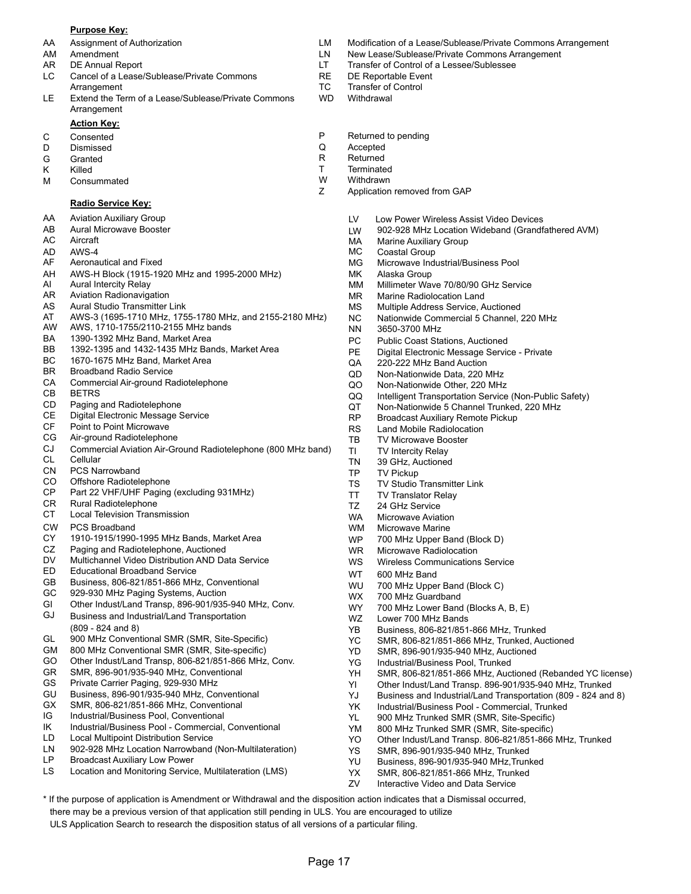#### **Purpose Key:**

- 
- 
- 
- LC Cancel of a Lease/Sublease/Private Commons The RE DE Reportable Event Arrangement **TC** Transfer of Control
- LE Extend the Term of a Lease/Sublease/Private Commons WD Withdrawal Arrangement

### **Action Key:**

- 
- D Dismissed Q Accepted
- 
- 
- M Consummated M W Withdrawn<br>
Z Application

#### **Radio Service Key:**

- AA Aviation Auxiliary Group
- AB Aural Microwave Booster
- AC Aircraft
- AD AWS-4
- AF Aeronautical and Fixed
- AH AWS-H Block (1915-1920 MHz and 1995-2000 MHz)
- AI Aural Intercity Relay
- AR Aviation Radionavigation
- AS Aural Studio Transmitter Link
- AT AWS-3 (1695-1710 MHz, 1755-1780 MHz, and 2155-2180 MHz)
- AW AWS, 1710-1755/2110-2155 MHz bands
- BA 1390-1392 MHz Band, Market Area
- BB 1392-1395 and 1432-1435 MHz Bands, Market Area
- BC 1670-1675 MHz Band, Market Area
- BR Broadband Radio Service
- CA Commercial Air-ground Radiotelephone
- CB BETRS
- CD Paging and Radiotelephone
- CE Digital Electronic Message Service
- CF Point to Point Microwave
- CG Air-ground Radiotelephone
- CL Cellular CJ Commercial Aviation Air-Ground Radiotelephone (800 MHz band)
- CN PCS Narrowband
- CO Offshore Radiotelephone
- CP Part 22 VHF/UHF Paging (excluding 931MHz)
- CR Rural Radiotelephone
- CT Local Television Transmission
- CW PCS Broadband
- CY 1910-1915/1990-1995 MHz Bands, Market Area
- CZ Paging and Radiotelephone, Auctioned
- DV Multichannel Video Distribution AND Data Service
- ED Educational Broadband Service<br>
The Contract of Contract Contract Contract Contract Open WT 600 MHz Band
- GB Business, 806-821/851-866 MHz, Conventional
- GC 929-930 MHz Paging Systems, Auction
- GI Other Indust/Land Transp, 896-901/935-940 MHz, Conv.
- GJ Business and Industrial/Land Transportation (809 - 824 and 8)
- GL 900 MHz Conventional SMR (SMR, Site-Specific)
- GM 800 MHz Conventional SMR (SMR, Site-specific)
- GO Other Indust/Land Transp, 806-821/851-866 MHz, Conv.
- GR SMR, 896-901/935-940 MHz, Conventional
- GS Private Carrier Paging, 929-930 MHz
- GU Business, 896-901/935-940 MHz, Conventional
- GX SMR, 806-821/851-866 MHz, Conventional
- IG Industrial/Business Pool, Conventional
- IK Industrial/Business Pool Commercial, Conventional
- LD Local Multipoint Distribution Service
- LN 902-928 MHz Location Narrowband (Non-Multilateration)
- LP Broadcast Auxiliary Low Power
- LS Location and Monitoring Service, Multilateration (LMS)

\* If the purpose of application is Amendment or Withdrawal and the disposition action indicates that a Dismissal occurred,

Page 17

there may be a previous version of that application still pending in ULS. You are encouraged to utilize ULS Application Search to research the disposition status of all versions of a particular filing.

- AA Assignment of Authorization LM Modification of a Lease/Sublease/Private Commons Arrangement
- AM Amendment **Amendment** 2008 Commons Arrangement LN New Lease/Sublease/Private Commons Arrangement
- AR DE Annual Report **LT** Transfer of Control of a Lessee/Sublessee
	-
	-
	-
- C Consented **C** Consented **P** Returned to pending **P** Returned to pending **P** Returned to pending
	-
- G Granted **R** Returned
- K Killed **T** Terminated **T** Terminated M Consummated **T** Terminated M Consummated M Consum
	-
	- Application removed from GAP
		- LV Low Power Wireless Assist Video Devices
		- LW 902-928 MHz Location Wideband (Grandfathered AVM)
		- MA Marine Auxiliary Group
		- MC Coastal Group
		- Microwave Industrial/Business Pool MG
		- Alaska Group MK
		- Millimeter Wave 70/80/90 GHz Service MM
		- Marine Radiolocation Land MR
		- Multiple Address Service, Auctioned MS
		- Nationwide Commercial 5 Channel, 220 MHz NC
		- 3650-3700 MHz NN
		- PC Public Coast Stations, Auctioned
		- PE Digital Electronic Message Service Private
		- QA 220-222 MHz Band Auction
		- QD Non-Nationwide Data, 220 MHz
		- QO Non-Nationwide Other, 220 MHz
		- QQ Intelligent Transportation Service (Non-Public Safety)
		- QT Non-Nationwide 5 Channel Trunked, 220 MHz
		- RP Broadcast Auxiliary Remote Pickup
		- RS Land Mobile Radiolocation
		- TB TV Microwave Booster
		- TI TV Intercity Relay TN 39 GHz, Auctioned
		- TP TV Pickup

WM WP

YD

WZ

WX WY

- TS TV Studio Transmitter Link
- TT TV Translator Relay

WR Microwave Radiolocation

700 MHz Upper Band (Block D)

YB Business, 806-821/851-866 MHz, Trunked YC SMR, 806-821/851-866 MHz, Trunked, Auctioned SMR, 896-901/935-940 MHz, Auctioned

700 MHz Lower Band (Blocks A, B, E)

YK Industrial/Business Pool - Commercial, Trunked YL 900 MHz Trunked SMR (SMR, Site-Specific) YM 800 MHz Trunked SMR (SMR, Site-specific)

YH SMR, 806-821/851-866 MHz, Auctioned (Rebanded YC license) YI Other Indust/Land Transp. 896-901/935-940 MHz, Trunked YJ Business and Industrial/Land Transportation (809 - 824 and 8)

YO Other Indust/Land Transp. 806-821/851-866 MHz, Trunked

WS Wireless Communications Service

Lower 700 MHz Bands

700 MHz Guardband

WU 700 MHz Upper Band (Block C)

YG Industrial/Business Pool, Trunked

YS SMR, 896-901/935-940 MHz, Trunked YU Business, 896-901/935-940 MHz,Trunked YX SMR, 806-821/851-866 MHz, Trunked ZV Interactive Video and Data Service

Microwave Marine

TZ 24 GHz Service

WA Microwave Aviation